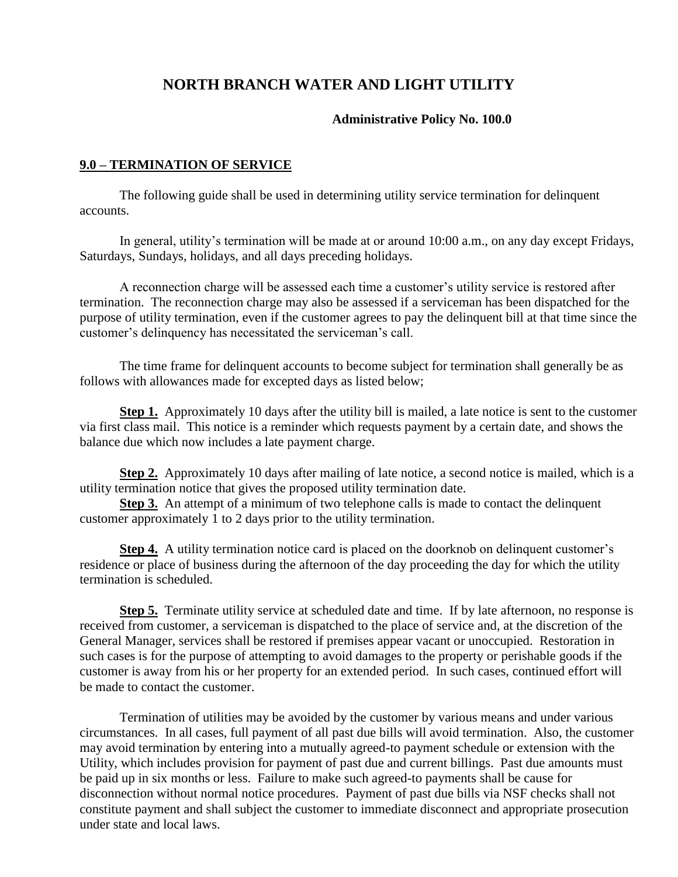# **NORTH BRANCH WATER AND LIGHT UTILITY**

#### **Administrative Policy No. 100.0**

#### **9.0 – TERMINATION OF SERVICE**

The following guide shall be used in determining utility service termination for delinquent accounts.

In general, utility's termination will be made at or around 10:00 a.m., on any day except Fridays, Saturdays, Sundays, holidays, and all days preceding holidays.

A reconnection charge will be assessed each time a customer's utility service is restored after termination. The reconnection charge may also be assessed if a serviceman has been dispatched for the purpose of utility termination, even if the customer agrees to pay the delinquent bill at that time since the customer's delinquency has necessitated the serviceman's call.

The time frame for delinquent accounts to become subject for termination shall generally be as follows with allowances made for excepted days as listed below;

**Step 1.** Approximately 10 days after the utility bill is mailed, a late notice is sent to the customer via first class mail. This notice is a reminder which requests payment by a certain date, and shows the balance due which now includes a late payment charge.

**Step 2.** Approximately 10 days after mailing of late notice, a second notice is mailed, which is a utility termination notice that gives the proposed utility termination date.

**Step 3.** An attempt of a minimum of two telephone calls is made to contact the delinquent customer approximately 1 to 2 days prior to the utility termination.

**Step 4.** A utility termination notice card is placed on the doorknob on delinquent customer's residence or place of business during the afternoon of the day proceeding the day for which the utility termination is scheduled.

**Step 5.** Terminate utility service at scheduled date and time. If by late afternoon, no response is received from customer, a serviceman is dispatched to the place of service and, at the discretion of the General Manager, services shall be restored if premises appear vacant or unoccupied. Restoration in such cases is for the purpose of attempting to avoid damages to the property or perishable goods if the customer is away from his or her property for an extended period. In such cases, continued effort will be made to contact the customer.

Termination of utilities may be avoided by the customer by various means and under various circumstances. In all cases, full payment of all past due bills will avoid termination. Also, the customer may avoid termination by entering into a mutually agreed-to payment schedule or extension with the Utility, which includes provision for payment of past due and current billings. Past due amounts must be paid up in six months or less. Failure to make such agreed-to payments shall be cause for disconnection without normal notice procedures. Payment of past due bills via NSF checks shall not constitute payment and shall subject the customer to immediate disconnect and appropriate prosecution under state and local laws.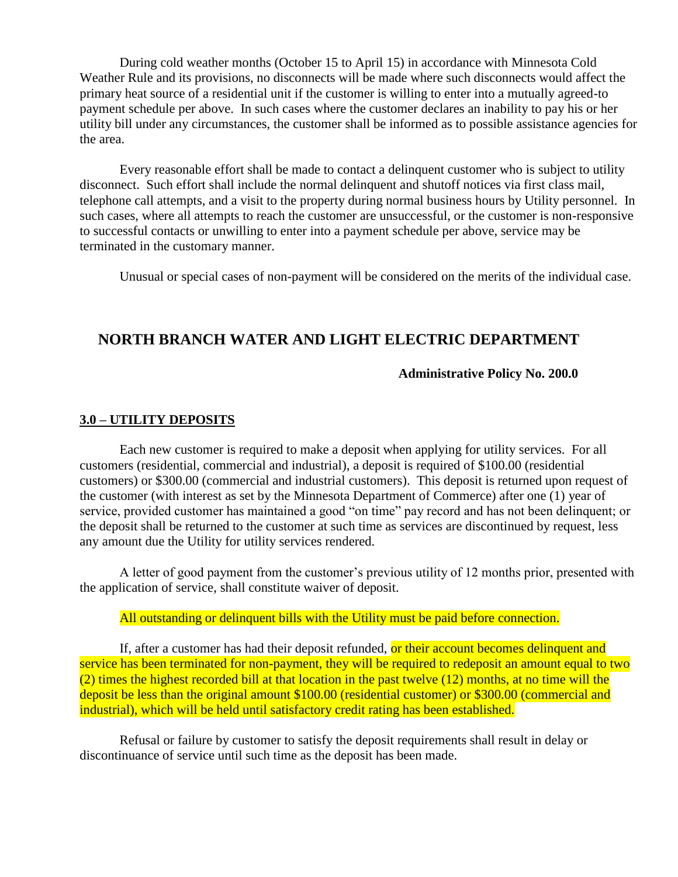During cold weather months (October 15 to April 15) in accordance with Minnesota Cold Weather Rule and its provisions, no disconnects will be made where such disconnects would affect the primary heat source of a residential unit if the customer is willing to enter into a mutually agreed-to payment schedule per above. In such cases where the customer declares an inability to pay his or her utility bill under any circumstances, the customer shall be informed as to possible assistance agencies for the area.

Every reasonable effort shall be made to contact a delinquent customer who is subject to utility disconnect. Such effort shall include the normal delinquent and shutoff notices via first class mail, telephone call attempts, and a visit to the property during normal business hours by Utility personnel. In such cases, where all attempts to reach the customer are unsuccessful, or the customer is non-responsive to successful contacts or unwilling to enter into a payment schedule per above, service may be terminated in the customary manner.

Unusual or special cases of non-payment will be considered on the merits of the individual case.

## **NORTH BRANCH WATER AND LIGHT ELECTRIC DEPARTMENT**

#### **Administrative Policy No. 200.0**

#### **3.0 – UTILITY DEPOSITS**

Each new customer is required to make a deposit when applying for utility services. For all customers (residential, commercial and industrial), a deposit is required of \$100.00 (residential customers) or \$300.00 (commercial and industrial customers). This deposit is returned upon request of the customer (with interest as set by the Minnesota Department of Commerce) after one (1) year of service, provided customer has maintained a good "on time" pay record and has not been delinquent; or the deposit shall be returned to the customer at such time as services are discontinued by request, less any amount due the Utility for utility services rendered.

A letter of good payment from the customer's previous utility of 12 months prior, presented with the application of service, shall constitute waiver of deposit.

#### All outstanding or delinquent bills with the Utility must be paid before connection.

If, after a customer has had their deposit refunded, or their account becomes delinquent and service has been terminated for non-payment, they will be required to redeposit an amount equal to two (2) times the highest recorded bill at that location in the past twelve (12) months, at no time will the deposit be less than the original amount \$100.00 (residential customer) or \$300.00 (commercial and industrial), which will be held until satisfactory credit rating has been established.

Refusal or failure by customer to satisfy the deposit requirements shall result in delay or discontinuance of service until such time as the deposit has been made.